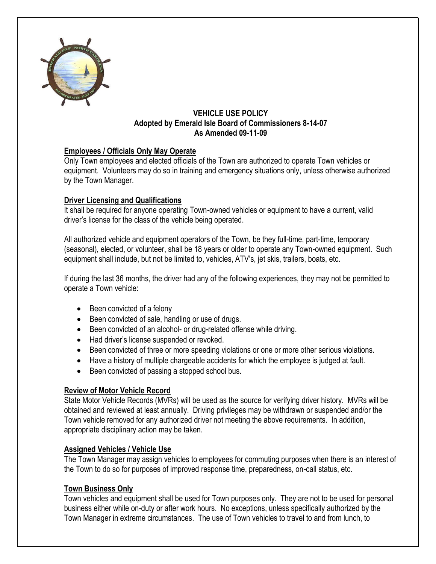

### **VEHICLE USE POLICY Adopted by Emerald Isle Board of Commissioners 8-14-07 As Amended 09-11-09**

## **Employees / Officials Only May Operate**

Only Town employees and elected officials of the Town are authorized to operate Town vehicles or equipment. Volunteers may do so in training and emergency situations only, unless otherwise authorized by the Town Manager.

## **Driver Licensing and Qualifications**

It shall be required for anyone operating Town-owned vehicles or equipment to have a current, valid driver's license for the class of the vehicle being operated.

All authorized vehicle and equipment operators of the Town, be they full-time, part-time, temporary (seasonal), elected, or volunteer, shall be 18 years or older to operate any Town-owned equipment. Such equipment shall include, but not be limited to, vehicles, ATV's, jet skis, trailers, boats, etc.

If during the last 36 months, the driver had any of the following experiences, they may not be permitted to operate a Town vehicle:

- Been convicted of a felony
- Been convicted of sale, handling or use of drugs.
- Been convicted of an alcohol- or drug-related offense while driving.
- Had driver's license suspended or revoked.
- Been convicted of three or more speeding violations or one or more other serious violations.
- Have a history of multiple chargeable accidents for which the employee is judged at fault.
- Been convicted of passing a stopped school bus.

### **Review of Motor Vehicle Record**

State Motor Vehicle Records (MVRs) will be used as the source for verifying driver history. MVRs will be obtained and reviewed at least annually. Driving privileges may be withdrawn or suspended and/or the Town vehicle removed for any authorized driver not meeting the above requirements. In addition, appropriate disciplinary action may be taken.

### **Assigned Vehicles / Vehicle Use**

The Town Manager may assign vehicles to employees for commuting purposes when there is an interest of the Town to do so for purposes of improved response time, preparedness, on-call status, etc.

### **Town Business Only**

Town vehicles and equipment shall be used for Town purposes only. They are not to be used for personal business either while on-duty or after work hours. No exceptions, unless specifically authorized by the Town Manager in extreme circumstances. The use of Town vehicles to travel to and from lunch, to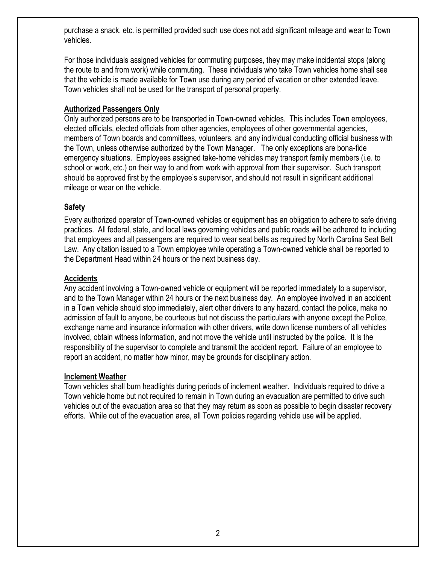purchase a snack, etc. is permitted provided such use does not add significant mileage and wear to Town vehicles.

For those individuals assigned vehicles for commuting purposes, they may make incidental stops (along the route to and from work) while commuting. These individuals who take Town vehicles home shall see that the vehicle is made available for Town use during any period of vacation or other extended leave. Town vehicles shall not be used for the transport of personal property.

### **Authorized Passengers Only**

Only authorized persons are to be transported in Town-owned vehicles. This includes Town employees, elected officials, elected officials from other agencies, employees of other governmental agencies, members of Town boards and committees, volunteers, and any individual conducting official business with the Town, unless otherwise authorized by the Town Manager. The only exceptions are bona-fide emergency situations. Employees assigned take-home vehicles may transport family members (i.e. to school or work, etc.) on their way to and from work with approval from their supervisor. Such transport should be approved first by the employee's supervisor, and should not result in significant additional mileage or wear on the vehicle.

# **Safety**

Every authorized operator of Town-owned vehicles or equipment has an obligation to adhere to safe driving practices. All federal, state, and local laws governing vehicles and public roads will be adhered to including that employees and all passengers are required to wear seat belts as required by North Carolina Seat Belt Law. Any citation issued to a Town employee while operating a Town-owned vehicle shall be reported to the Department Head within 24 hours or the next business day.

## **Accidents**

Any accident involving a Town-owned vehicle or equipment will be reported immediately to a supervisor, and to the Town Manager within 24 hours or the next business day. An employee involved in an accident in a Town vehicle should stop immediately, alert other drivers to any hazard, contact the police, make no admission of fault to anyone, be courteous but not discuss the particulars with anyone except the Police, exchange name and insurance information with other drivers, write down license numbers of all vehicles involved, obtain witness information, and not move the vehicle until instructed by the police. It is the responsibility of the supervisor to complete and transmit the accident report. Failure of an employee to report an accident, no matter how minor, may be grounds for disciplinary action.

### **Inclement Weather**

Town vehicles shall burn headlights during periods of inclement weather. Individuals required to drive a Town vehicle home but not required to remain in Town during an evacuation are permitted to drive such vehicles out of the evacuation area so that they may return as soon as possible to begin disaster recovery efforts. While out of the evacuation area, all Town policies regarding vehicle use will be applied.